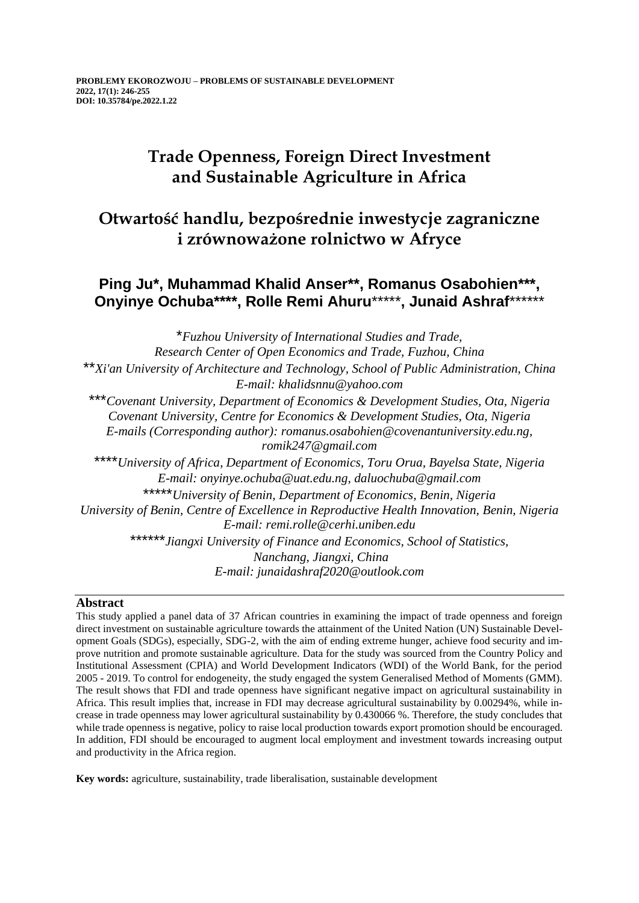# **Trade Openness, Foreign Direct Investment and Sustainable Agriculture in Africa**

# **Otwartość handlu, bezpośrednie inwestycje zagraniczne i zrównoważone rolnictwo w Afryce**

## **Ping Ju\*, Muhammad Khalid Anser\*\*, Romanus Osabohien\*\*\*, Onyinye Ochuba\*\*\*\*, Rolle Remi Ahuru**\*\*\*\*\***, Junaid Ashraf**\*\*\*\*\*\*

\**Fuzhou University of International Studies and Trade, Research Center of Open Economics and Trade, Fuzhou, China* \*\**Xi'an University of Architecture and Technology, School of Public Administration, China E-mail: khalidsnnu@yahoo.com* \*\*\**Covenant University, Department of Economics & Development Studies, Ota, Nigeria Covenant University, Centre for Economics & Development Studies, Ota, Nigeria E-mails (Corresponding author): romanus.osabohien@covenantuniversity.edu.ng, [romik247@gmail.com](mailto:romik247@gmail.com)* \*\*\*\**University of Africa, Department of Economics, Toru Orua, Bayelsa State, Nigeria E-mail: onyinye.ochuba@uat.edu.ng, daluochuba@gmail.com* \*\*\*\*\**University of Benin, Department of Economics, Benin, Nigeria University of Benin, Centre of Excellence in Reproductive Health Innovation, Benin, Nigeria E-mail: [remi.rolle@cerhi.uniben.edu](mailto:remi.rolle@cerhi.uniben.edu)* \*\*\*\*\*\**Jiangxi University of Finance and Economics, School of Statistics, Nanchang, Jiangxi, China E-mail: [junaidashraf2020@outlook.com](mailto:junaidashraf2020@outlook.com)*

## **Abstract**

This study applied a panel data of 37 African countries in examining the impact of trade openness and foreign direct investment on sustainable agriculture towards the attainment of the United Nation (UN) Sustainable Development Goals (SDGs), especially, SDG-2, with the aim of ending extreme hunger, achieve food security and improve nutrition and promote sustainable agriculture. Data for the study was sourced from the Country Policy and Institutional Assessment (CPIA) and World Development Indicators (WDI) of the World Bank, for the period 2005 - 2019. To control for endogeneity, the study engaged the system Generalised Method of Moments (GMM). The result shows that FDI and trade openness have significant negative impact on agricultural sustainability in Africa. This result implies that, increase in FDI may decrease agricultural sustainability by 0.00294%, while increase in trade openness may lower agricultural sustainability by 0.430066 %. Therefore, the study concludes that while trade openness is negative, policy to raise local production towards export promotion should be encouraged. In addition, FDI should be encouraged to augment local employment and investment towards increasing output and productivity in the Africa region.

**Key words:** agriculture, sustainability, trade liberalisation, sustainable development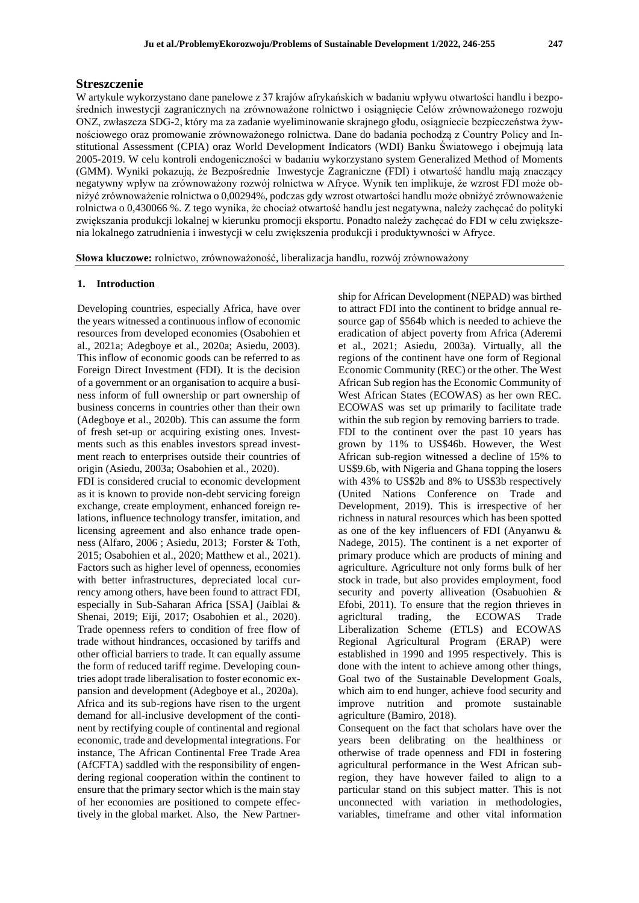## **Streszczenie**

W artykule wykorzystano dane panelowe z 37 krajów afrykańskich w badaniu wpływu otwartości handlu i bezpośrednich inwestycji zagranicznych na zrównoważone rolnictwo i osiągnięcie Celów zrównoważonego rozwoju ONZ, zwłaszcza SDG-2, który ma za zadanie wyeliminowanie skrajnego głodu, osiągniecie bezpieczeństwa żywnościowego oraz promowanie zrównoważonego rolnictwa. Dane do badania pochodzą z Country Policy and Institutional Assessment (CPIA) oraz World Development Indicators (WDI) Banku Światowego i obejmują lata 2005-2019. W celu kontroli endogeniczności w badaniu wykorzystano system Generalized Method of Moments (GMM). Wyniki pokazują, że Bezpośrednie Inwestycje Zagraniczne (FDI) i otwartość handlu mają znaczący negatywny wpływ na zrównoważony rozwój rolnictwa w Afryce. Wynik ten implikuje, że wzrost FDI może obniżyć zrównoważenie rolnictwa o 0,00294%, podczas gdy wzrost otwartości handlu może obniżyć zrównoważenie rolnictwa o 0,430066 %. Z tego wynika, że chociaż otwartość handlu jest negatywna, należy zachęcać do polityki zwiększania produkcji lokalnej w kierunku promocji eksportu. Ponadto należy zachęcać do FDI w celu zwiększenia lokalnego zatrudnienia i inwestycji w celu zwiększenia produkcji i produktywności w Afryce.

**Słowa kluczowe:** rolnictwo, zrównoważoność, liberalizacja handlu, rozwój zrównoważony

### **1. Introduction**

Developing countries, especially Africa, have over the years witnessed a continuous inflow of economic resources from developed economies (Osabohien et al., 2021a; Adegboye et al., 2020a; Asiedu, 2003). This inflow of economic goods can be referred to as Foreign Direct Investment (FDI). It is the decision of a government or an organisation to acquire a business inform of full ownership or part ownership of business concerns in countries other than their own (Adegboye et al., 2020b). This can assume the form of fresh set-up or acquiring existing ones. Investments such as this enables investors spread investment reach to enterprises outside their countries of origin (Asiedu, 2003a; Osabohien et al., 2020).

FDI is considered crucial to economic development as it is known to provide non-debt servicing foreign exchange, create employment, enhanced foreign relations, influence technology transfer, imitation, and licensing agreement and also enhance trade openness (Alfaro, 2006 ; Asiedu, 2013; Forster & Toth, 2015; Osabohien et al., 2020; Matthew et al., 2021). Factors such as higher level of openness, economies with better infrastructures, depreciated local currency among others, have been found to attract FDI, especially in Sub-Saharan Africa [SSA] (Jaiblai & Shenai, 2019; Eiji, 2017; Osabohien et al., 2020). Trade openness refers to condition of free flow of trade without hindrances, occasioned by tariffs and other official barriers to trade. It can equally assume the form of reduced tariff regime. Developing countries adopt trade liberalisation to foster economic expansion and development (Adegboye et al., 2020a). Africa and its sub-regions have risen to the urgent demand for all-inclusive development of the continent by rectifying couple of continental and regional economic, trade and developmental integrations. For instance, The African Continental Free Trade Area (AfCFTA) saddled with the responsibility of engendering regional cooperation within the continent to ensure that the primary sector which is the main stay of her economies are positioned to compete effectively in the global market. Also, the New Partner-

ship for African Development (NEPAD) was birthed to attract FDI into the continent to bridge annual resource gap of \$564b which is needed to achieve the eradication of abject poverty from Africa (Aderemi et al., 2021; Asiedu, 2003a). Virtually, all the regions of the continent have one form of Regional Economic Community (REC) or the other. The West African Sub region has the Economic Community of West African States (ECOWAS) as her own REC. ECOWAS was set up primarily to facilitate trade within the sub region by removing barriers to trade. FDI to the continent over the past 10 years has grown by 11% to US\$46b. However, the West African sub-region witnessed a decline of 15% to US\$9.6b, with Nigeria and Ghana topping the losers with 43% to US\$2b and 8% to US\$3b respectively (United Nations Conference on Trade and Development, 2019). This is irrespective of her richness in natural resources which has been spotted as one of the key influencers of FDI (Anyanwu & Nadege, 2015). The continent is a net exporter of primary produce which are products of mining and agriculture. Agriculture not only forms bulk of her stock in trade, but also provides employment, food security and poverty alliveation (Osabuohien & Efobi, 2011). To ensure that the region thrieves in agricltural trading, the ECOWAS Trade Liberalization Scheme (ETLS) and ECOWAS Regional Agricultural Program (ERAP) were established in 1990 and 1995 respectively. This is done with the intent to achieve among other things, Goal two of the Sustainable Development Goals, which aim to end hunger, achieve food security and improve nutrition and promote sustainable agriculture (Bamiro, 2018).

Consequent on the fact that scholars have over the years been delibrating on the healthiness or otherwise of trade openness and FDI in fostering agricultural performance in the West African subregion, they have however failed to align to a particular stand on this subject matter. This is not unconnected with variation in methodologies, variables, timeframe and other vital information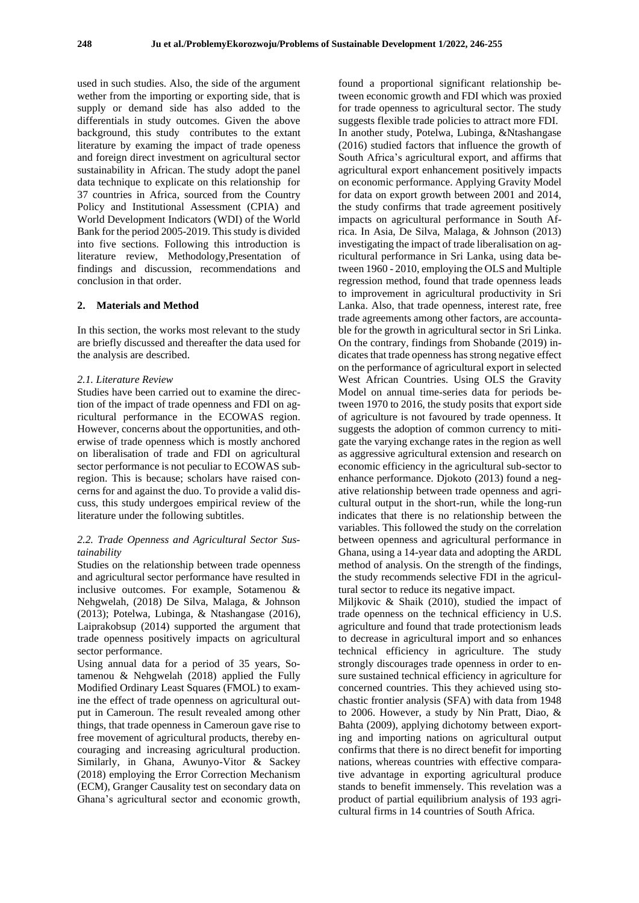used in such studies. Also, the side of the argument wether from the importing or exporting side, that is supply or demand side has also added to the differentials in study outcomes. Given the above background, this study contributes to the extant literature by examing the impact of trade openess and foreign direct investment on agricultural sector sustainability in African. The study adopt the panel data technique to explicate on this relationship for 37 countries in Africa, sourced from the Country Policy and Institutional Assessment (CPIA) and World Development Indicators (WDI) of the World Bank for the period 2005-2019. This study is divided into five sections. Following this introduction is literature review, Methodology,Presentation of findings and discussion, recommendations and conclusion in that order.

#### **2. Materials and Method**

In this section, the works most relevant to the study are briefly discussed and thereafter the data used for the analysis are described.

## *2.1. Literature Review*

Studies have been carried out to examine the direction of the impact of trade openness and FDI on agricultural performance in the ECOWAS region. However, concerns about the opportunities, and otherwise of trade openness which is mostly anchored on liberalisation of trade and FDI on agricultural sector performance is not peculiar to ECOWAS subregion. This is because; scholars have raised concerns for and against the duo. To provide a valid discuss, this study undergoes empirical review of the literature under the following subtitles.

## *2.2. Trade Openness and Agricultural Sector Sustainability*

Studies on the relationship between trade openness and agricultural sector performance have resulted in inclusive outcomes. For example, Sotamenou & Nehgwelah, (2018) De Silva, Malaga, & Johnson (2013); Potelwa, Lubinga, & Ntashangase (2016), Laiprakobsup (2014) supported the argument that trade openness positively impacts on agricultural sector performance.

Using annual data for a period of 35 years, Sotamenou & Nehgwelah (2018) applied the Fully Modified Ordinary Least Squares (FMOL) to examine the effect of trade openness on agricultural output in Cameroun. The result revealed among other things, that trade openness in Cameroun gave rise to free movement of agricultural products, thereby encouraging and increasing agricultural production. Similarly, in Ghana, Awunyo-Vitor & Sackey (2018) employing the Error Correction Mechanism (ECM), Granger Causality test on secondary data on Ghana's agricultural sector and economic growth,

found a proportional significant relationship between economic growth and FDI which was proxied for trade openness to agricultural sector. The study suggests flexible trade policies to attract more FDI. In another study, Potelwa, Lubinga, &Ntashangase (2016) studied factors that influence the growth of South Africa's agricultural export, and affirms that agricultural export enhancement positively impacts on economic performance. Applying Gravity Model for data on export growth between 2001 and 2014, the study confirms that trade agreement positively impacts on agricultural performance in South Africa. In Asia, De Silva, Malaga, & Johnson (2013) investigating the impact of trade liberalisation on agricultural performance in Sri Lanka, using data between 1960 - 2010, employing the OLS and Multiple regression method, found that trade openness leads to improvement in agricultural productivity in Sri Lanka. Also, that trade openness, interest rate, free trade agreements among other factors, are accountable for the growth in agricultural sector in Sri Linka. On the contrary, findings from Shobande (2019) indicates that trade openness has strong negative effect on the performance of agricultural export in selected West African Countries. Using OLS the Gravity Model on annual time-series data for periods between 1970 to 2016, the study posits that export side of agriculture is not favoured by trade openness. It suggests the adoption of common currency to mitigate the varying exchange rates in the region as well as aggressive agricultural extension and research on economic efficiency in the agricultural sub-sector to enhance performance. Djokoto (2013) found a negative relationship between trade openness and agricultural output in the short-run, while the long-run indicates that there is no relationship between the variables. This followed the study on the correlation between openness and agricultural performance in Ghana, using a 14-year data and adopting the ARDL method of analysis. On the strength of the findings, the study recommends selective FDI in the agricultural sector to reduce its negative impact.

Miljkovic & Shaik (2010), studied the impact of trade openness on the technical efficiency in U.S. agriculture and found that trade protectionism leads to decrease in agricultural import and so enhances technical efficiency in agriculture. The study strongly discourages trade openness in order to ensure sustained technical efficiency in agriculture for concerned countries. This they achieved using stochastic frontier analysis (SFA) with data from 1948 to 2006. However, a study by Nin Pratt, Diao, & Bahta (2009), applying dichotomy between exporting and importing nations on agricultural output confirms that there is no direct benefit for importing nations, whereas countries with effective comparative advantage in exporting agricultural produce stands to benefit immensely. This revelation was a product of partial equilibrium analysis of 193 agricultural firms in 14 countries of South Africa.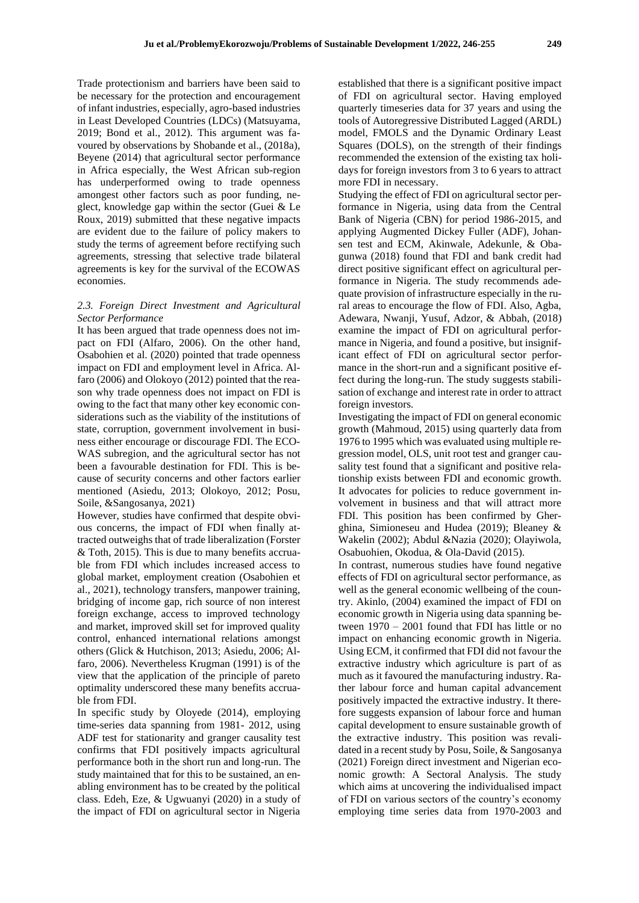Trade protectionism and barriers have been said to be necessary for the protection and encouragement of infant industries, especially, agro-based industries in Least Developed Countries (LDCs) (Matsuyama, 2019; Bond et al., 2012). This argument was favoured by observations by Shobande et al., (2018a), Beyene (2014) that agricultural sector performance in Africa especially, the West African sub-region has underperformed owing to trade openness amongest other factors such as poor funding, neglect, knowledge gap within the sector (Guei & Le Roux, 2019) submitted that these negative impacts are evident due to the failure of policy makers to study the terms of agreement before rectifying such agreements, stressing that selective trade bilateral agreements is key for the survival of the ECOWAS economies.

## *2.3. Foreign Direct Investment and Agricultural Sector Performance*

It has been argued that trade openness does not impact on FDI (Alfaro, 2006). On the other hand, Osabohien et al. (2020) pointed that trade openness impact on FDI and employment level in Africa. Alfaro (2006) and Olokoyo (2012) pointed that the reason why trade openness does not impact on FDI is owing to the fact that many other key economic considerations such as the viability of the institutions of state, corruption, government involvement in business either encourage or discourage FDI. The ECO-WAS subregion, and the agricultural sector has not been a favourable destination for FDI. This is because of security concerns and other factors earlier mentioned (Asiedu, 2013; Olokoyo, 2012; Posu, Soile, &Sangosanya, 2021)

However, studies have confirmed that despite obvious concerns, the impact of FDI when finally attracted outweighs that of trade liberalization (Forster & Toth, 2015). This is due to many benefits accruable from FDI which includes increased access to global market, employment creation (Osabohien et al., 2021), technology transfers, manpower training, bridging of income gap, rich source of non interest foreign exchange, access to improved technology and market, improved skill set for improved quality control, enhanced international relations amongst others (Glick & Hutchison, 2013; Asiedu, 2006; Alfaro, 2006). Nevertheless Krugman (1991) is of the view that the application of the principle of pareto optimality underscored these many benefits accruable from FDI.

In specific study by Oloyede (2014), employing time-series data spanning from 1981- 2012, using ADF test for stationarity and granger causality test confirms that FDI positively impacts agricultural performance both in the short run and long-run. The study maintained that for this to be sustained, an enabling environment has to be created by the political class. Edeh, Eze, & Ugwuanyi (2020) in a study of the impact of FDI on agricultural sector in Nigeria

established that there is a significant positive impact of FDI on agricultural sector. Having employed quarterly timeseries data for 37 years and using the tools of Autoregressive Distributed Lagged (ARDL) model, FMOLS and the Dynamic Ordinary Least Squares (DOLS), on the strength of their findings recommended the extension of the existing tax holidays for foreign investors from 3 to 6 years to attract more FDI in necessary.

Studying the effect of FDI on agricultural sector performance in Nigeria, using data from the Central Bank of Nigeria (CBN) for period 1986-2015, and applying Augmented Dickey Fuller (ADF), Johansen test and ECM, Akinwale, Adekunle, & Obagunwa (2018) found that FDI and bank credit had direct positive significant effect on agricultural performance in Nigeria. The study recommends adequate provision of infrastructure especially in the rural areas to encourage the flow of FDI. Also, Agba, Adewara, Nwanji, Yusuf, Adzor, & Abbah, (2018) examine the impact of FDI on agricultural performance in Nigeria, and found a positive, but insignificant effect of FDI on agricultural sector performance in the short-run and a significant positive effect during the long-run. The study suggests stabilisation of exchange and interest rate in order to attract foreign investors.

Investigating the impact of FDI on general economic growth (Mahmoud, 2015) using quarterly data from 1976 to 1995 which was evaluated using multiple regression model, OLS, unit root test and granger causality test found that a significant and positive relationship exists between FDI and economic growth. It advocates for policies to reduce government involvement in business and that will attract more FDI. This position has been confirmed by Gherghina, Simioneseu and Hudea (2019); Bleaney & Wakelin (2002); Abdul &Nazia (2020); Olayiwola, Osabuohien, Okodua, & Ola-David (2015).

In contrast, numerous studies have found negative effects of FDI on agricultural sector performance, as well as the general economic wellbeing of the country. Akinlo, (2004) examined the impact of FDI on economic growth in Nigeria using data spanning between 1970 – 2001 found that FDI has little or no impact on enhancing economic growth in Nigeria. Using ECM, it confirmed that FDI did not favour the extractive industry which agriculture is part of as much as it favoured the manufacturing industry. Rather labour force and human capital advancement positively impacted the extractive industry. It therefore suggests expansion of labour force and human capital development to ensure sustainable growth of the extractive industry. This position was revalidated in a recent study by Posu, Soile, & Sangosanya (2021) Foreign direct investment and Nigerian economic growth: A Sectoral Analysis. The study which aims at uncovering the individualised impact of FDI on various sectors of the country's economy employing time series data from 1970-2003 and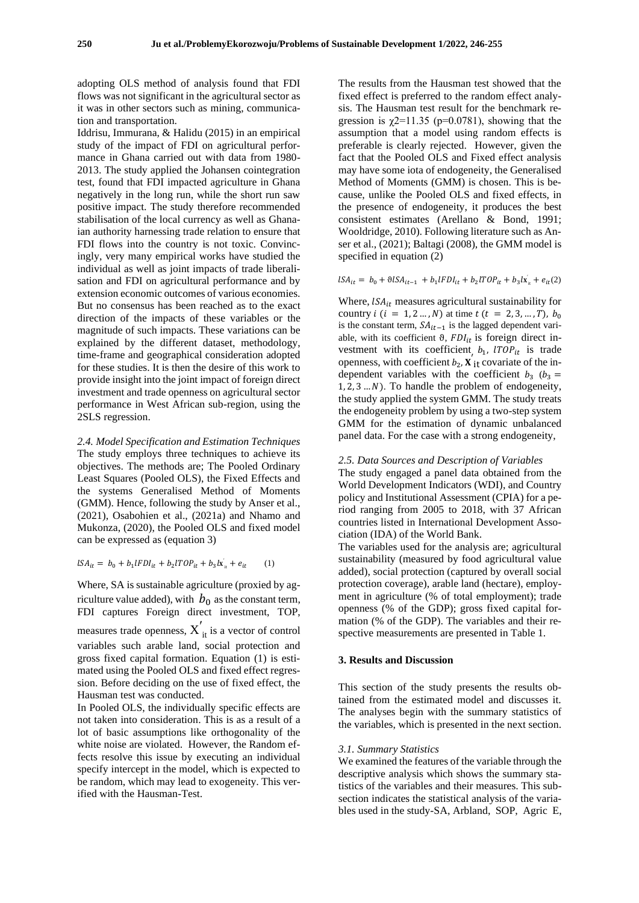adopting OLS method of analysis found that FDI flows was not significant in the agricultural sector as it was in other sectors such as mining, communication and transportation.

Iddrisu, Immurana, & Halidu (2015) in an empirical study of the impact of FDI on agricultural performance in Ghana carried out with data from 1980- 2013. The study applied the Johansen cointegration test, found that FDI impacted agriculture in Ghana negatively in the long run, while the short run saw positive impact. The study therefore recommended stabilisation of the local currency as well as Ghanaian authority harnessing trade relation to ensure that FDI flows into the country is not toxic. Convincingly, very many empirical works have studied the individual as well as joint impacts of trade liberalisation and FDI on agricultural performance and by extension economic outcomes of various economies. But no consensus has been reached as to the exact direction of the impacts of these variables or the magnitude of such impacts. These variations can be explained by the different dataset, methodology, time-frame and geographical consideration adopted for these studies. It is then the desire of this work to provide insight into the joint impact of foreign direct investment and trade openness on agricultural sector performance in West African sub-region, using the 2SLS regression.

*2.4. Model Specification and Estimation Techniques* The study employs three techniques to achieve its objectives. The methods are; The Pooled Ordinary Least Squares (Pooled OLS), the Fixed Effects and the systems Generalised Method of Moments (GMM). Hence, following the study by Anser et al., (2021), Osabohien et al., (2021a) and Nhamo and Mukonza, (2020), the Pooled OLS and fixed model can be expressed as (equation 3)

$$
lSA_{it} = b_0 + b_1 lFDI_{it} + b_2 lTOP_{it} + b_3 l\dot{x}_{it} + e_{it} \tag{1}
$$

Where, SA is sustainable agriculture (proxied by agriculture value added), with  $b_0$  as the constant term, FDI captures Foreign direct investment, TOP, measures trade openness,  $X'_{it}$  is a vector of control variables such arable land, social protection and gross fixed capital formation. Equation (1) is estimated using the Pooled OLS and fixed effect regression. Before deciding on the use of fixed effect, the Hausman test was conducted.

In Pooled OLS, the individually specific effects are not taken into consideration. This is as a result of a lot of basic assumptions like orthogonality of the white noise are violated. However, the Random effects resolve this issue by executing an individual specify intercept in the model, which is expected to be random, which may lead to exogeneity. This verified with the Hausman-Test.

The results from the Hausman test showed that the fixed effect is preferred to the random effect analysis. The Hausman test result for the benchmark regression is  $\chi$ 2=11.35 (p=0.0781), showing that the assumption that a model using random effects is preferable is clearly rejected. However, given the fact that the Pooled OLS and Fixed effect analysis may have some iota of endogeneity, the Generalised Method of Moments (GMM) is chosen. This is because, unlike the Pooled OLS and fixed effects, in the presence of endogeneity, it produces the best consistent estimates (Arellano & Bond, 1991; Wooldridge, 2010). Following literature such as Anser et al., (2021); Baltagi (2008), the GMM model is specified in equation (2)

 $\text{LSA}_{it} = b_0 + \theta \text{LSA}_{it-1} + b_1 \text{IFDI}_{it} + b_2 \text{ITOP}_{it} + b_3 \text{Ix}_{it} + e_{it}(2)$ 

Where,  $lSA_{it}$  measures agricultural sustainability for country  $i$  ( $i = 1, 2, ..., N$ ) at time  $t$  ( $t = 2, 3, ..., T$ ),  $b_0$ is the constant term,  $SA_{it-1}$  is the lagged dependent variable, with its coefficient  $\vartheta$ ,  $FDI_{it}$  is foreign direct investment with its coefficient,  $b_1$ ,  $1TOP_{it}$  is trade openness, with coefficient  $b_2$ ,  $\mathbf{X}^{\prime}$  is covariate of the independent variables with the coefficient  $b_3$  ( $b_3$  =  $1, 2, 3...N$ ). To handle the problem of endogeneity, the study applied the system GMM. The study treats the endogeneity problem by using a two-step system GMM for the estimation of dynamic unbalanced panel data. For the case with a strong endogeneity,

#### *2.5. Data Sources and Description of Variables*

The study engaged a panel data obtained from the World Development Indicators (WDI), and Country policy and Institutional Assessment (CPIA) for a period ranging from 2005 to 2018, with 37 African countries listed in International Development Association (IDA) of the World Bank.

The variables used for the analysis are; agricultural sustainability (measured by food agricultural value added), social protection (captured by overall social protection coverage), arable land (hectare), employment in agriculture (% of total employment); trade openness (% of the GDP); gross fixed capital formation (% of the GDP). The variables and their respective measurements are presented in Table 1.

## **3. Results and Discussion**

This section of the study presents the results obtained from the estimated model and discusses it. The analyses begin with the summary statistics of the variables, which is presented in the next section.

#### *3.1. Summary Statistics*

We examined the features of the variable through the descriptive analysis which shows the summary statistics of the variables and their measures. This subsection indicates the statistical analysis of the variables used in the study-SA, Arbland, SOP, Agric E,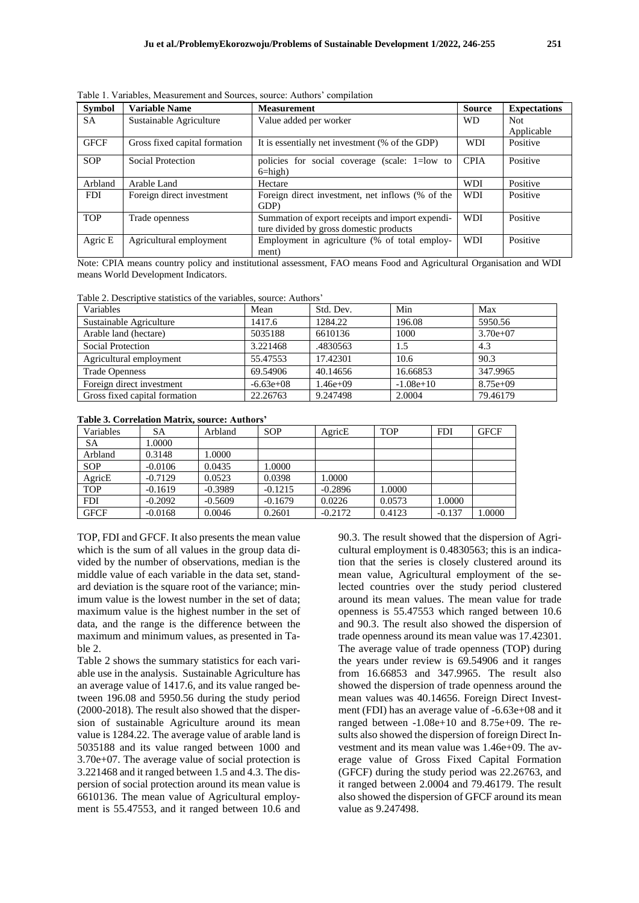| Svmbol     | <b>Variable Name</b>    | <b>Measurement</b>     |  |
|------------|-------------------------|------------------------|--|
| SΑ         | Sustainable Agriculture | Value added per worker |  |
| $\sqrt{2}$ |                         | CJ CIND<br>$\sqrt{2}$  |  |

Table 1. Variables, Measurement and Sources, source: Authors' compilation

| <b>Symbol</b> | Variable Name                 | <b>Measurement</b>                                          | <b>Source</b> | <b>Expectations</b> |
|---------------|-------------------------------|-------------------------------------------------------------|---------------|---------------------|
| <b>SA</b>     | Sustainable Agriculture       | Value added per worker                                      | <b>WD</b>     | Not.                |
|               |                               |                                                             |               | Applicable          |
| <b>GFCF</b>   | Gross fixed capital formation | It is essentially net investment (% of the GDP)             | <b>WDI</b>    | Positive            |
| <b>SOP</b>    | Social Protection             | policies for social coverage (scale: 1=low to<br>$6 = high$ | <b>CPIA</b>   | Positive            |
| Arbland       | Arable Land                   | Hectare                                                     | <b>WDI</b>    | Positive            |
| <b>FDI</b>    | Foreign direct investment     | Foreign direct investment, net inflows (% of the            | <b>WDI</b>    | Positive            |
|               |                               | GDP)                                                        |               |                     |
| <b>TOP</b>    | Trade openness                | Summation of export receipts and import expendi-            | <b>WDI</b>    | Positive            |
|               |                               | ture divided by gross domestic products                     |               |                     |
| Agric E       | Agricultural employment       | Employment in agriculture (% of total employ-               | <b>WDI</b>    | Positive            |
|               |                               | ment)                                                       |               |                     |

Note: CPIA means country policy and institutional assessment, FAO means Food and Agricultural Organisation and WDI means World Development Indicators.

Table 2. Descriptive statistics of the variables, source: Authors'

| Variables                     | Mean        | Std. Dev. | Min         | Max        |
|-------------------------------|-------------|-----------|-------------|------------|
| Sustainable Agriculture       | 1417.6      | 1284.22   | 196.08      | 5950.56    |
| Arable land (hectare)         | 5035188     | 6610136   | 1000        | $3.70e+07$ |
| <b>Social Protection</b>      | 3.221468    | .4830563  | 1.5         | 4.3        |
| Agricultural employment       | 55.47553    | 17.42301  | 10.6        | 90.3       |
| <b>Trade Openness</b>         | 69.54906    | 40.14656  | 16.66853    | 347.9965   |
| Foreign direct investment     | $-6.63e+08$ | 1.46e+09  | $-1.08e+10$ | $8.75e+09$ |
| Gross fixed capital formation | 22.26763    | 9.247498  | 2.0004      | 79.46179   |

## **Table 3. Correlation Matrix, source: Authors'**

| Variables   | SA        | Arbland   | <b>SOP</b> | AgricE    | <b>TOP</b> | <b>FDI</b> | <b>GFCF</b> |
|-------------|-----------|-----------|------------|-----------|------------|------------|-------------|
| SA          | 1.0000    |           |            |           |            |            |             |
| Arbland     | 0.3148    | 1.0000    |            |           |            |            |             |
| <b>SOP</b>  | $-0.0106$ | 0.0435    | 1.0000     |           |            |            |             |
| AgricE      | $-0.7129$ | 0.0523    | 0.0398     | 1.0000    |            |            |             |
| <b>TOP</b>  | $-0.1619$ | $-0.3989$ | $-0.1215$  | $-0.2896$ | 0000.1     |            |             |
| <b>FDI</b>  | $-0.2092$ | $-0.5609$ | $-0.1679$  | 0.0226    | 0.0573     | 1.0000     |             |
| <b>GFCF</b> | $-0.0168$ | 0.0046    | 0.2601     | $-0.2172$ | 0.4123     | $-0.137$   | 1.0000      |

TOP, FDI and GFCF. It also presents the mean value which is the sum of all values in the group data divided by the number of observations, median is the middle value of each variable in the data set, standard deviation is the square root of the variance; minimum value is the lowest number in the set of data; maximum value is the highest number in the set of data, and the range is the difference between the maximum and minimum values, as presented in Table 2.

Table 2 shows the summary statistics for each variable use in the analysis. Sustainable Agriculture has an average value of 1417.6, and its value ranged between 196.08 and 5950.56 during the study period (2000-2018). The result also showed that the dispersion of sustainable Agriculture around its mean value is 1284.22. The average value of arable land is 5035188 and its value ranged between 1000 and 3.70e+07. The average value of social protection is 3.221468 and it ranged between 1.5 and 4.3. The dispersion of social protection around its mean value is 6610136. The mean value of Agricultural employment is 55.47553, and it ranged between 10.6 and

90.3. The result showed that the dispersion of Agricultural employment is 0.4830563; this is an indication that the series is closely clustered around its mean value, Agricultural employment of the selected countries over the study period clustered around its mean values. The mean value for trade openness is 55.47553 which ranged between 10.6 and 90.3. The result also showed the dispersion of trade openness around its mean value was 17.42301. The average value of trade openness (TOP) during the years under review is 69.54906 and it ranges from 16.66853 and 347.9965. The result also showed the dispersion of trade openness around the mean values was 40.14656. Foreign Direct Investment (FDI) has an average value of -6.63e+08 and it ranged between -1.08e+10 and 8.75e+09. The results also showed the dispersion of foreign Direct Investment and its mean value was 1.46e+09. The average value of Gross Fixed Capital Formation (GFCF) during the study period was 22.26763, and it ranged between 2.0004 and 79.46179. The result also showed the dispersion of GFCF around its mean value as 9.247498.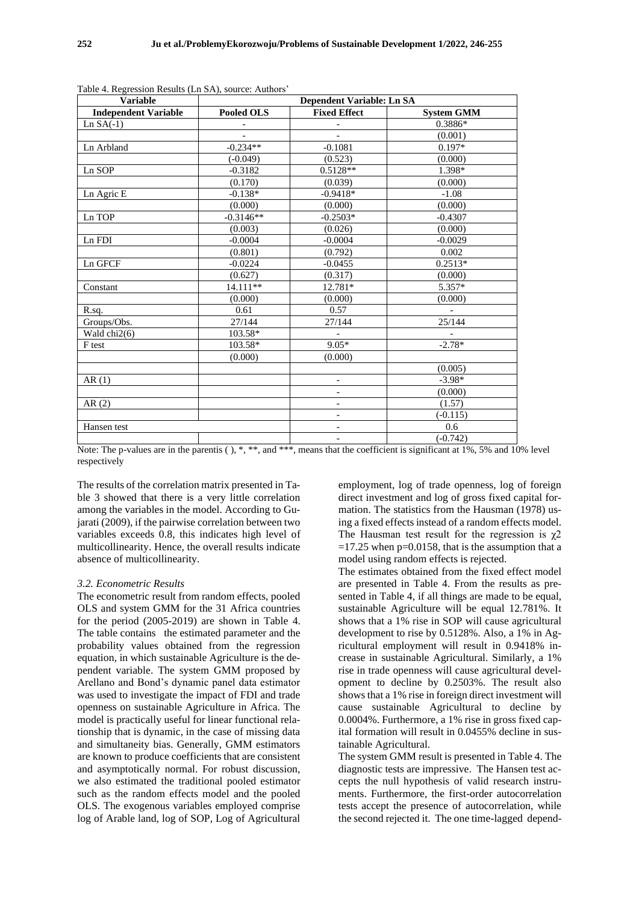| <b>Variable</b>             |                   | Dependent Variable: Ln SA    |                   |
|-----------------------------|-------------------|------------------------------|-------------------|
| <b>Independent Variable</b> | <b>Pooled OLS</b> | <b>Fixed Effect</b>          | <b>System GMM</b> |
| $Ln SA(-1)$                 |                   |                              | 0.3886*           |
|                             |                   |                              | (0.001)           |
| Ln Arbland                  | $-0.234**$        | $-0.1081$                    | $0.197*$          |
|                             | $(-0.049)$        | (0.523)                      | (0.000)           |
| Ln SOP                      | $-0.3182$         | $0.5128**$                   | 1.398*            |
|                             | (0.170)           | (0.039)                      | (0.000)           |
| Ln Agric E                  | $-0.138*$         | $-0.9418*$                   | $-1.08$           |
|                             | (0.000)           | (0.000)                      | (0.000)           |
| Ln TOP                      | $-0.3146**$       | $-0.2503*$                   | $-0.4307$         |
|                             | (0.003)           | (0.026)                      | (0.000)           |
| Ln FDI                      | $-0.0004$         | $-0.0004$                    | $-0.0029$         |
|                             | (0.801)           | (0.792)                      | 0.002             |
| Ln GFCF                     | $-0.0224$         | $-0.0455$                    | $0.2513*$         |
|                             | (0.627)           | (0.317)                      | (0.000)           |
| Constant                    | $14.111**$        | 12.781*                      | $5.357*$          |
|                             | (0.000)           | (0.000)                      | (0.000)           |
| R.sq.                       | 0.61              | 0.57                         |                   |
| Groups/Obs.                 | 27/144            | 27/144                       | 25/144            |
| Wald chi2(6)                | 103.58*           |                              |                   |
| F test                      | $103.58*$         | $9.05*$                      | $-2.78*$          |
|                             | (0.000)           | (0.000)                      |                   |
|                             |                   |                              | (0.005)           |
| AR(1)                       |                   | $\qquad \qquad \blacksquare$ | $-3.98*$          |
|                             |                   | $\overline{\phantom{a}}$     | (0.000)           |
| AR(2)                       |                   | $\overline{\phantom{a}}$     | (1.57)            |
|                             |                   | $\overline{\phantom{a}}$     | $(-0.115)$        |
| Hansen test                 |                   | $\overline{\phantom{a}}$     | 0.6               |
|                             |                   | $\overline{\phantom{a}}$     | $(-0.742)$        |

Table 4. Regression Results (Ln SA), source: Authors'

Note: The p-values are in the parentis ( ), \*, \*\*, and \*\*\*, means that the coefficient is significant at 1%, 5% and 10% level respectively

The results of the correlation matrix presented in Table 3 showed that there is a very little correlation among the variables in the model. According to Gujarati (2009), if the pairwise correlation between two variables exceeds 0.8, this indicates high level of multicollinearity. Hence, the overall results indicate absence of multicollinearity.

#### *3.2. Econometric Results*

The econometric result from random effects, pooled OLS and system GMM for the 31 Africa countries for the period (2005-2019) are shown in Table 4. The table contains the estimated parameter and the probability values obtained from the regression equation, in which sustainable Agriculture is the dependent variable. The system GMM proposed by Arellano and Bond's dynamic panel data estimator was used to investigate the impact of FDI and trade openness on sustainable Agriculture in Africa. The model is practically useful for linear functional relationship that is dynamic, in the case of missing data and simultaneity bias. Generally, GMM estimators are known to produce coefficients that are consistent and asymptotically normal. For robust discussion, we also estimated the traditional pooled estimator such as the random effects model and the pooled OLS. The exogenous variables employed comprise log of Arable land, log of SOP, Log of Agricultural

employment, log of trade openness, log of foreign direct investment and log of gross fixed capital formation. The statistics from the Hausman (1978) using a fixed effects instead of a random effects model. The Hausman test result for the regression is  $\gamma$ 2  $=17.25$  when p=0.0158, that is the assumption that a model using random effects is rejected.

The estimates obtained from the fixed effect model are presented in Table 4. From the results as presented in Table 4, if all things are made to be equal, sustainable Agriculture will be equal 12.781%. It shows that a 1% rise in SOP will cause agricultural development to rise by 0.5128%. Also, a 1% in Agricultural employment will result in 0.9418% increase in sustainable Agricultural. Similarly, a 1% rise in trade openness will cause agricultural development to decline by 0.2503%. The result also shows that a 1% rise in foreign direct investment will cause sustainable Agricultural to decline by 0.0004%. Furthermore, a 1% rise in gross fixed capital formation will result in 0.0455% decline in sustainable Agricultural.

The system GMM result is presented in Table 4. The diagnostic tests are impressive. The Hansen test accepts the null hypothesis of valid research instruments. Furthermore, the first-order autocorrelation tests accept the presence of autocorrelation, while the second rejected it. The one time-lagged depend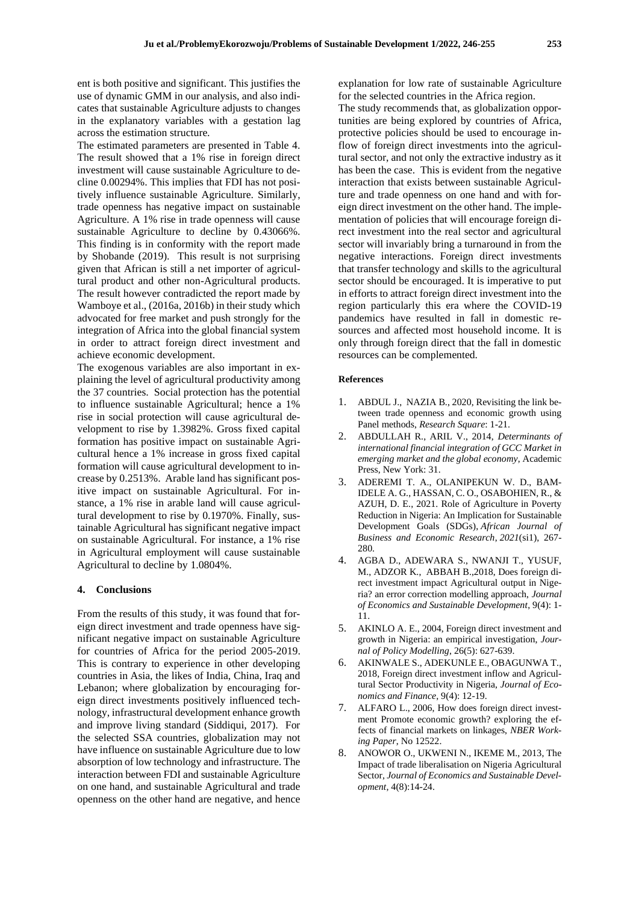ent is both positive and significant. This justifies the use of dynamic GMM in our analysis, and also indicates that sustainable Agriculture adjusts to changes in the explanatory variables with a gestation lag across the estimation structure.

The estimated parameters are presented in Table 4. The result showed that a 1% rise in foreign direct investment will cause sustainable Agriculture to decline 0.00294%. This implies that FDI has not positively influence sustainable Agriculture. Similarly, trade openness has negative impact on sustainable Agriculture. A 1% rise in trade openness will cause sustainable Agriculture to decline by 0.43066%. This finding is in conformity with the report made by Shobande (2019). This result is not surprising given that African is still a net importer of agricultural product and other non-Agricultural products. The result however contradicted the report made by Wamboye et al., (2016a, 2016b) in their study which advocated for free market and push strongly for the integration of Africa into the global financial system in order to attract foreign direct investment and achieve economic development.

The exogenous variables are also important in explaining the level of agricultural productivity among the 37 countries. Social protection has the potential to influence sustainable Agricultural; hence a 1% rise in social protection will cause agricultural development to rise by 1.3982%. Gross fixed capital formation has positive impact on sustainable Agricultural hence a 1% increase in gross fixed capital formation will cause agricultural development to increase by 0.2513%. Arable land has significant positive impact on sustainable Agricultural. For instance, a 1% rise in arable land will cause agricultural development to rise by 0.1970%. Finally, sustainable Agricultural has significant negative impact on sustainable Agricultural. For instance, a 1% rise in Agricultural employment will cause sustainable Agricultural to decline by 1.0804%.

### **4. Conclusions**

From the results of this study, it was found that foreign direct investment and trade openness have significant negative impact on sustainable Agriculture for countries of Africa for the period 2005-2019. This is contrary to experience in other developing countries in Asia, the likes of India, China, Iraq and Lebanon; where globalization by encouraging foreign direct investments positively influenced technology, infrastructural development enhance growth and improve living standard (Siddiqui, 2017). For the selected SSA countries, globalization may not have influence on sustainable Agriculture due to low absorption of low technology and infrastructure. The interaction between FDI and sustainable Agriculture on one hand, and sustainable Agricultural and trade openness on the other hand are negative, and hence

explanation for low rate of sustainable Agriculture for the selected countries in the Africa region.

The study recommends that, as globalization opportunities are being explored by countries of Africa, protective policies should be used to encourage inflow of foreign direct investments into the agricultural sector, and not only the extractive industry as it has been the case. This is evident from the negative interaction that exists between sustainable Agriculture and trade openness on one hand and with foreign direct investment on the other hand. The implementation of policies that will encourage foreign direct investment into the real sector and agricultural sector will invariably bring a turnaround in from the negative interactions. Foreign direct investments that transfer technology and skills to the agricultural sector should be encouraged. It is imperative to put in efforts to attract foreign direct investment into the region particularly this era where the COVID-19 pandemics have resulted in fall in domestic resources and affected most household income. It is only through foreign direct that the fall in domestic resources can be complemented.

#### **References**

- 1. ABDUL J., NAZIA B., 2020, Revisiting the link between trade openness and economic growth using Panel methods, *Research Square*: 1-21.
- 2. ABDULLAH R., ARIL V., 2014, *Determinants of international financial integration of GCC Market in emerging market and the global economy*, Academic Press, New York: 31.
- 3. ADEREMI T. A., OLANIPEKUN W. D., BAM-IDELE A. G., HASSAN, C. O., OSABOHIEN, R., & AZUH, D. E., 2021. Role of Agriculture in Poverty Reduction in Nigeria: An Implication for Sustainable Development Goals (SDGs), *African Journal of Business and Economic Research*, *2021*(si1), 267- 280.
- 4. AGBA D., ADEWARA S., NWANJI T., YUSUF, M., ADZOR K., ABBAH B.,2018, Does foreign direct investment impact Agricultural output in Nigeria? an error correction modelling approach, *Journal of Economics and Sustainable Development*, 9(4): 1- 11.
- 5. AKINLO A. E., 2004, Foreign direct investment and growth in Nigeria: an empirical investigation, *Journal of Policy Modelling*, 26(5): 627-639.
- 6. AKINWALE S., ADEKUNLE E., OBAGUNWA T., 2018, Foreign direct investment inflow and Agricultural Sector Productivity in Nigeria, *Journal of Economics and Finance*, 9(4): 12-19.
- 7. ALFARO L., 2006, How does foreign direct investment Promote economic growth? exploring the effects of financial markets on linkages, *NBER Working Paper*, No 12522.
- 8. ANOWOR O., UKWENI N., IKEME M., 2013, The Impact of trade liberalisation on Nigeria Agricultural Sector, *Journal of Economics and Sustainable Development*, 4(8):14-24.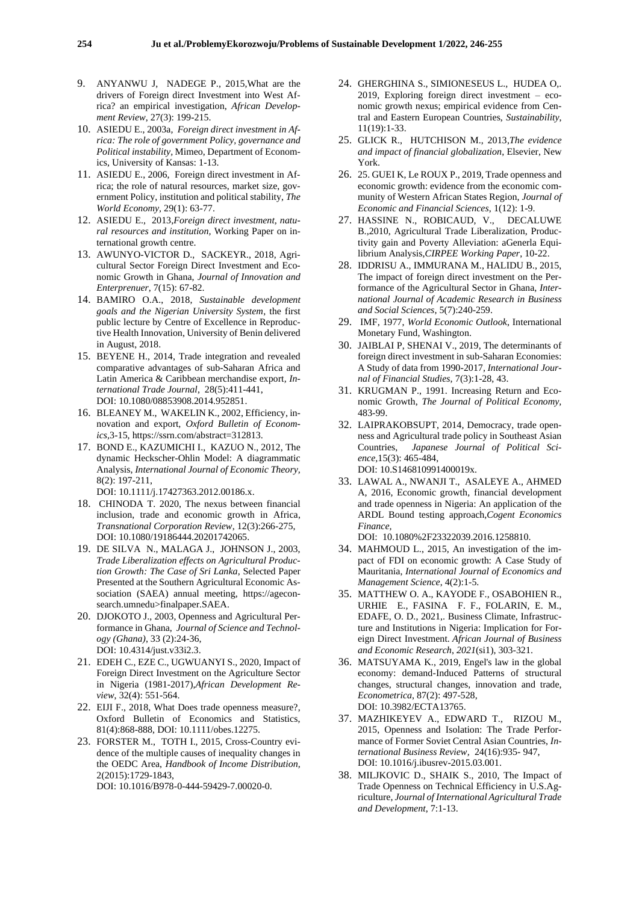- 9. ANYANWU J, NADEGE P., 2015,What are the drivers of Foreign direct Investment into West Africa? an empirical investigation, *African Development Review*, 27(3): 199-215.
- 10. ASIEDU E., 2003a*, Foreign direct investment in Africa: The role of government Policy, governance and Political instability,* Mimeo, Department of Economics, University of Kansas: 1-13.
- 11. ASIEDU E., 2006, Foreign direct investment in Africa; the role of natural resources, market size, government Policy, institution and political stability, *The World Economy,* 29(1): 63-77.
- 12. ASIEDU E., 2013,*Foreign direct investment, natural resources and institution,* Working Paper on international growth centre.
- 13. AWUNYO-VICTOR D., SACKEYR., 2018, Agricultural Sector Foreign Direct Investment and Economic Growth in Ghana, *Journal of Innovation and Enterprenuer*, 7(15): 67-82.
- 14. BAMIRO O.A., 2018, *Sustainable development goals and the Nigerian University System*, the first public lecture by Centre of Excellence in Reproductive Health Innovation, University of Benin delivered in August, 2018.
- 15. BEYENE H., 2014, Trade integration and revealed comparative advantages of sub-Saharan Africa and Latin America & Caribbean merchandise export*, International Trade Journal*, 28(5):411-441, DOI: 10.1080/08853908.2014.952851.
- 16. BLEANEY M., WAKELIN K., 2002, Efficiency, innovation and export, *Oxford Bulletin of Economics,*3-15, https://ssrn.com/abstract=312813.
- 17. BOND E., KAZUMICHI I., KAZUO N., 2012, The dynamic Heckscher-Ohlin Model: A diagrammatic Analysis, *International Journal of Economic Theory,* 8(2): 197-211,

DOI: 10.1111/j.17427363.2012.00186.x.

- 18. CHINODA T. 2020, The nexus between financial inclusion, trade and economic growth in Africa, *Transnational Corporation Review*, 12(3):266-275, DOI: 10.1080/19186444.20201742065.
- 19. DE SILVA N., MALAGA J., JOHNSON J., 2003, *Trade Liberalization effects on Agricultural Production Growth: The Case of Sri Lanka*, Selected Paper Presented at the Southern Agricultural Economic Association (SAEA) annual meeting, https://ageconsearch.umnedu>finalpaper.SAEA.
- 20. DJOKOTO J., 2003, Openness and Agricultural Performance in Ghana, *Journal of Science and Technology (Ghana)*, 33 (2):24-36, DOI: 10.4314/just.v33i2.3.
- 21. EDEH C., EZE C., UGWUANYI S., 2020, Impact of Foreign Direct Investment on the Agriculture Sector in Nigeria (1981-2017),*African Development Review*, 32(4): 551-564.
- 22. EIJI F., 2018, What Does trade openness measure?, Oxford Bulletin of Economics and Statistics, 81(4):868-888, DOI: 10.1111/obes.12275.
- 23. FORSTER M., TOTH I., 2015, Cross-Country evidence of the multiple causes of inequality changes in the OEDC Area, *Handbook of Income Distribution,* 2(2015):1729-1843,

DOI: 10.1016/B978-0-444-59429-7.00020-0.

- 24. GHERGHINA S., SIMIONESEUS L., HUDEA O,. 2019, Exploring foreign direct investment – economic growth nexus; empirical evidence from Central and Eastern European Countries, *Sustainability*, 11(19):1-33.
- 25. GLICK R., HUTCHISON M., 2013,*The evidence and impact of financial globalization*, Elsevier, New York.
- 26. 25. GUEI K, Le ROUX P., 2019, Trade openness and economic growth: evidence from the economic community of Western African States Region, *Journal of Economic and Financial Sciences*, 1(12): 1-9.
- 27. HASSINE N., ROBICAUD, V., DECALUWE B.,2010, Agricultural Trade Liberalization, Productivity gain and Poverty Alleviation: aGenerla Equilibrium Analysis,*CIRPEE Working Paper*, 10-22.
- 28. IDDRISU A., IMMURANA M., HALIDU B., 2015, The impact of foreign direct investment on the Performance of the Agricultural Sector in Ghana, *International Journal of Academic Research in Business and Social Sciences*, 5(7):240-259.
- 29. IMF, 1977, *World Economic Outlook*, International Monetary Fund, Washington.
- 30. JAIBLAI P, SHENAI V., 2019, The determinants of foreign direct investment in sub-Saharan Economies: A Study of data from 1990-2017*, International Journal of Financial Studies,* 7(3):1-28, 43.
- 31. KRUGMAN P., 1991. Increasing Return and Economic Growth, *The Journal of Political Economy,* 483-99.
- 32. LAIPRAKOBSUPT, 2014, Democracy, trade openness and Agricultural trade policy in Southeast Asian Countries, *Japanese Journal of Political Science,*15(3): 465-484, DOI: 10.S146810991400019x.
- 33. LAWAL A., NWANJI T., ASALEYE A., AHMED A, 2016, Economic growth, financial development and trade openness in Nigeria: An application of the ARDL Bound testing approach,*Cogent Economics Finance,*

DOI: 10.1080%2F23322039.2016.1258810.

- 34. MAHMOUD L., 2015, An investigation of the impact of FDI on economic growth: A Case Study of Mauritania, *International Journal of Economics and Management Science*, 4(2):1-5.
- 35. MATTHEW O. A., KAYODE F., OSABOHIEN R., URHIE E., FASINA F. F., FOLARIN, E. M., EDAFE, O. D., 2021,. Business Climate, Infrastructure and Institutions in Nigeria: Implication for Foreign Direct Investment. *African Journal of Business and Economic Research*, *2021*(si1), 303-321.
- 36. MATSUYAMA K., 2019, Engel's law in the global economy: demand-Induced Patterns of structural changes, structural changes, innovation and trade, *Econometrica*, 87(2): 497-528, DOI: 10.3982/ECTA13765.
- 37. MAZHIKEYEV A., EDWARD T., RIZOU M., 2015, Openness and Isolation: The Trade Performance of Former Soviet Central Asian Countries, *International Business Review,* 24(16):935- 947, DOI: 10.1016/j.ibusrev-2015.03.001.
- 38. MILJKOVIC D., SHAIK S., 2010, The Impact of Trade Openness on Technical Efficiency in U.S.Agriculture, *Journal of International Agricultural Trade and Development*, 7:1-13.